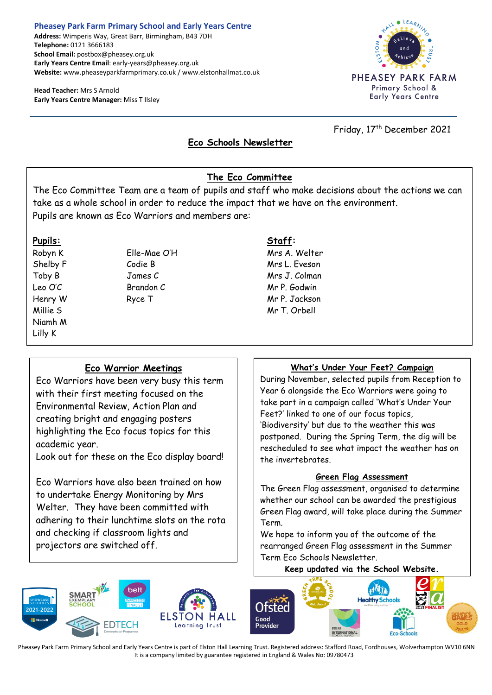### **Pheasey Park Farm Primary School and Early Years Centre Address:** Wimperis Way, Great Barr, Birmingham, B43 7DH **Telephone:** 0121 3666183

**School Email:** postbox@pheasey.org.uk **Early Years Centre Email**: early-years@pheasey.org.uk **Website:** www.pheaseyparkfarmprimary.co.uk / www.elstonhallmat.co.uk

**Head Teacher:** Mrs S Arnold **Early Years Centre Manager:** Miss T Ilsley



Friday, 17<sup>th</sup> December 2021

# **Eco Schools Newsletter**

# **The Eco Committee**

The Eco Committee Team are a team of pupils and staff who make decisions about the actions we can take as a whole school in order to reduce the impact that we have on the environment. Pupils are known as Eco Warriors and members are:

Niamh M Lilly K

 $\overline{a}$ 

**Pupils: Staff:**

Robyn K Elle-Mae O'H Mrs A. Welter Shelby F Codie B Mrs L. Eveson Toby B James C Mrs J. Colman Leo O'C Brandon C Mr P. Godwin Henry W Ryce T Mr P. Jackson Millie S Mr T. Orbell

## **Eco Warrior Meetings**

j

Eco Warriors have been very busy this term with their first meeting focused on the Environmental Review, Action Plan and creating bright and engaging posters highlighting the Eco focus topics for this academic year.

Look out for these on the Eco display board!

Eco Warriors have also been trained on how to undertake Energy Monitoring by Mrs Welter. They have been committed with adhering to their lunchtime slots on the rota and checking if classroom lights and projectors are switched off.

## **What's Under Your Feet? Campaign**

During November, selected pupils from Reception to Year 6 alongside the Eco Warriors were going to take part in a campaign called 'What's Under Your Feet?' linked to one of our focus topics, 'Biodiversity' but due to the weather this was postponed. During the Spring Term, the dig will be rescheduled to see what impact the weather has on the invertebrates.

### **Green Flag Assessment**

The Green Flag assessment, organised to determine whether our school can be awarded the prestigious Green Flag award, will take place during the Summer Term.

We hope to inform you of the outcome of the rearranged Green Flag assessment in the Summer Term Eco Schools Newsletter.

**Keep updated via the School Website.**



Pheasey Park Farm Primary School and Early Years Centre is part of Elston Hall Learning Trust. Registered address: Stafford Road, Fordhouses, Wolverhampton WV10 6NN It is a company limited by guarantee registered in England & Wales No: 09780473